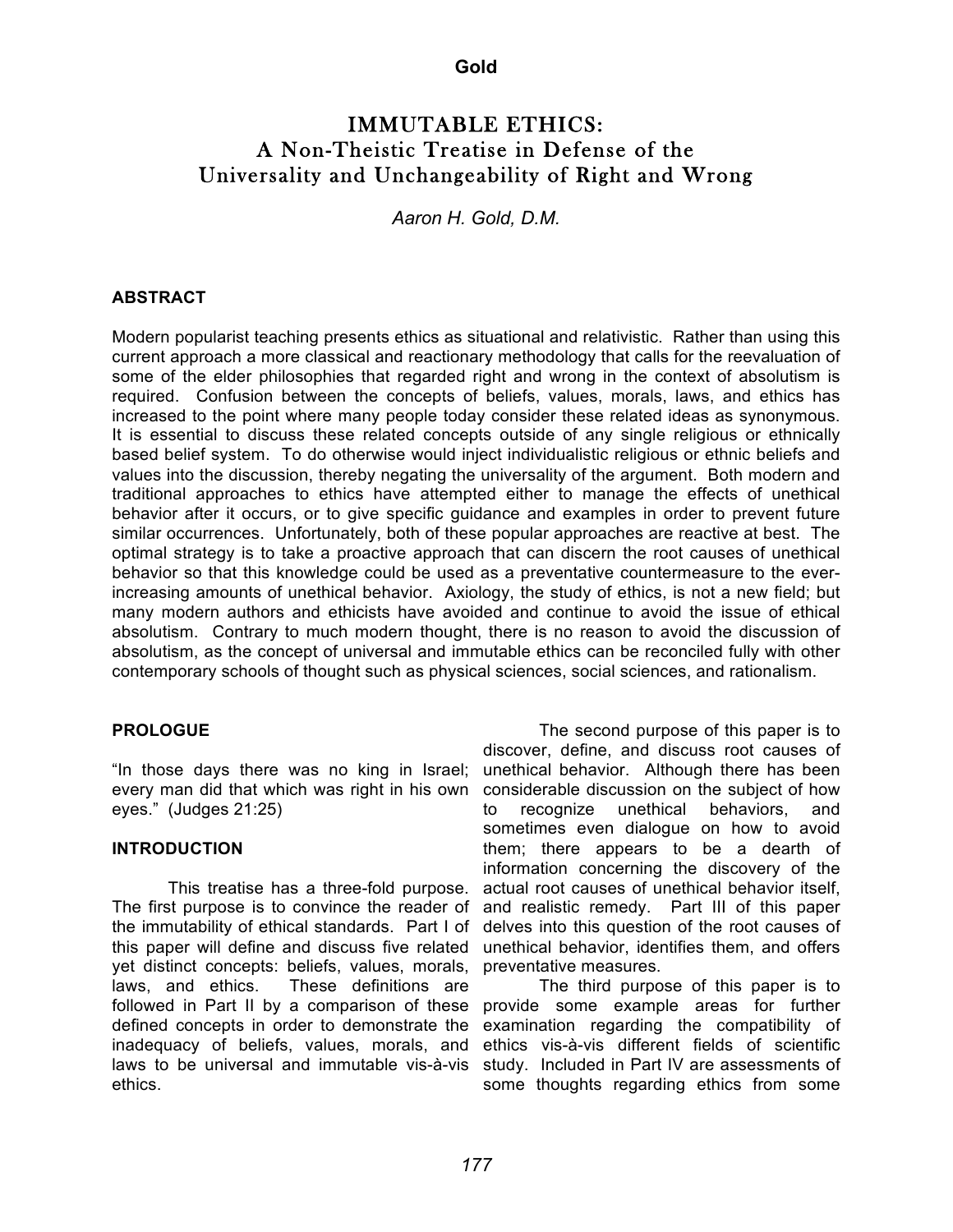### **Gold**

# IMMUTABLE ETHICS: A Non-Theistic Treatise in Defense of the Universality and Unchangeability of Right and Wrong

*Aaron H. Gold, D.M.*

#### **ABSTRACT**

Modern popularist teaching presents ethics as situational and relativistic. Rather than using this current approach a more classical and reactionary methodology that calls for the reevaluation of some of the elder philosophies that regarded right and wrong in the context of absolutism is required. Confusion between the concepts of beliefs, values, morals, laws, and ethics has increased to the point where many people today consider these related ideas as synonymous. It is essential to discuss these related concepts outside of any single religious or ethnically based belief system. To do otherwise would inject individualistic religious or ethnic beliefs and values into the discussion, thereby negating the universality of the argument. Both modern and traditional approaches to ethics have attempted either to manage the effects of unethical behavior after it occurs, or to give specific guidance and examples in order to prevent future similar occurrences. Unfortunately, both of these popular approaches are reactive at best. The optimal strategy is to take a proactive approach that can discern the root causes of unethical behavior so that this knowledge could be used as a preventative countermeasure to the everincreasing amounts of unethical behavior. Axiology, the study of ethics, is not a new field; but many modern authors and ethicists have avoided and continue to avoid the issue of ethical absolutism. Contrary to much modern thought, there is no reason to avoid the discussion of absolutism, as the concept of universal and immutable ethics can be reconciled fully with other contemporary schools of thought such as physical sciences, social sciences, and rationalism.

#### **PROLOGUE**

"In those days there was no king in Israel; every man did that which was right in his own eyes." (Judges 21:25)

### **INTRODUCTION**

This treatise has a three-fold purpose. The first purpose is to convince the reader of the immutability of ethical standards. Part I of this paper will define and discuss five related yet distinct concepts: beliefs, values, morals, laws, and ethics. These definitions are followed in Part II by a comparison of these defined concepts in order to demonstrate the inadequacy of beliefs, values, morals, and laws to be universal and immutable vis-à-vis ethics.

The second purpose of this paper is to discover, define, and discuss root causes of unethical behavior. Although there has been considerable discussion on the subject of how to recognize unethical behaviors, and sometimes even dialogue on how to avoid them; there appears to be a dearth of information concerning the discovery of the actual root causes of unethical behavior itself, and realistic remedy. Part III of this paper delves into this question of the root causes of unethical behavior, identifies them, and offers preventative measures.

The third purpose of this paper is to provide some example areas for further examination regarding the compatibility of ethics vis-à-vis different fields of scientific study. Included in Part IV are assessments of some thoughts regarding ethics from some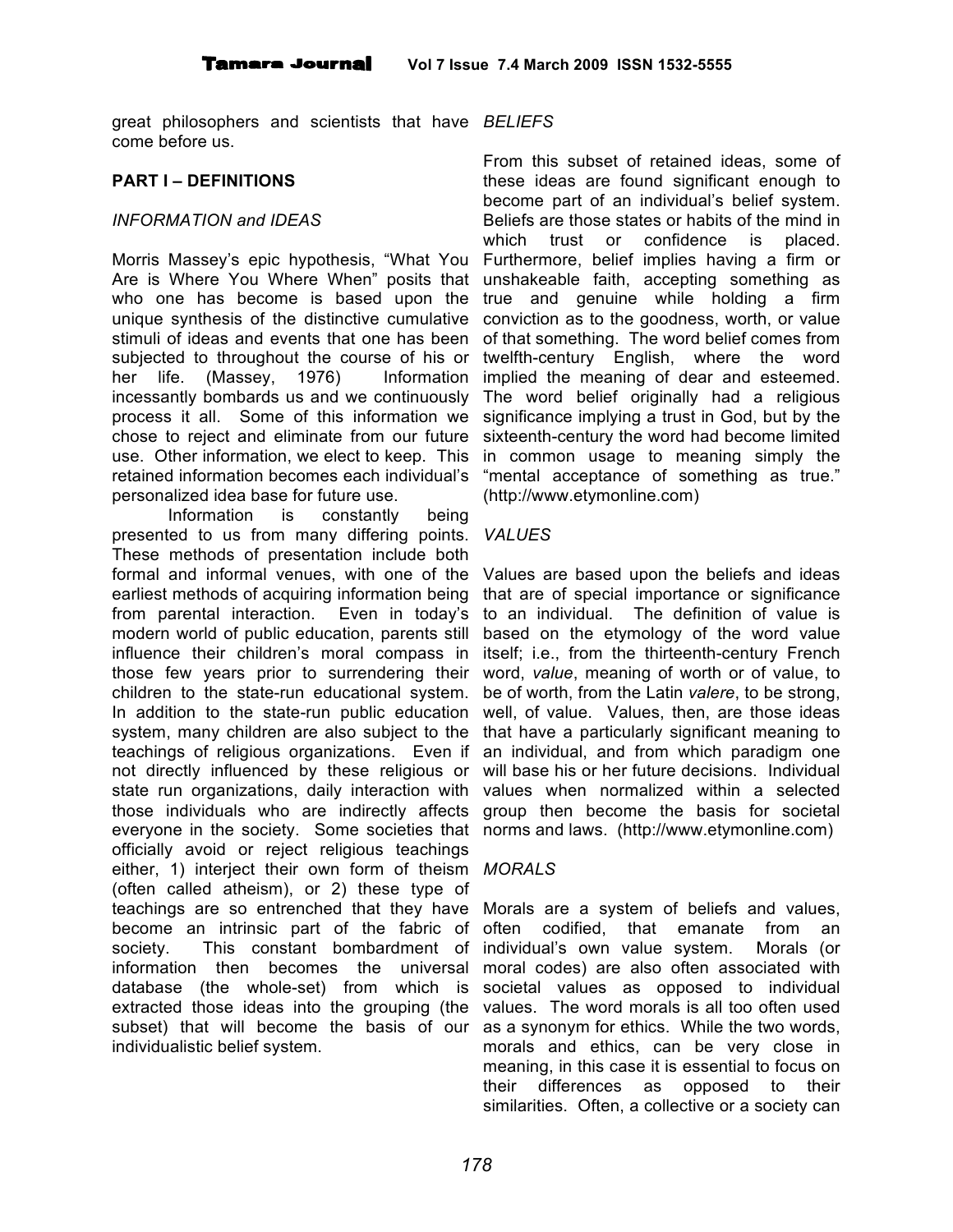great philosophers and scientists that have *BELIEFS* come before us.

### **PART I – DEFINITIONS**

#### *INFORMATION and IDEAS*

Morris Massey's epic hypothesis, "What You Are is Where You Where When" posits that who one has become is based upon the unique synthesis of the distinctive cumulative conviction as to the goodness, worth, or value stimuli of ideas and events that one has been subjected to throughout the course of his or her life. (Massey, 1976) Information incessantly bombards us and we continuously process it all. Some of this information we chose to reject and eliminate from our future use. Other information, we elect to keep. This retained information becomes each individual's personalized idea base for future use.

Information is constantly being presented to us from many differing points. *VALUES* These methods of presentation include both formal and informal venues, with one of the earliest methods of acquiring information being from parental interaction. Even in today's modern world of public education, parents still influence their children's moral compass in those few years prior to surrendering their children to the state-run educational system. In addition to the state-run public education system, many children are also subject to the teachings of religious organizations. Even if not directly influenced by these religious or state run organizations, daily interaction with those individuals who are indirectly affects group then become the basis for societal everyone in the society. Some societies that norms and laws. (http://www.etymonline.com) officially avoid or reject religious teachings either, 1) interject their own form of theism *MORALS* (often called atheism), or 2) these type of teachings are so entrenched that they have Morals are a system of beliefs and values, become an intrinsic part of the fabric of society. This constant bombardment of information then becomes the universal database (the whole-set) from which is extracted those ideas into the grouping (the values. The word morals is all too often used subset) that will become the basis of our as a synonym for ethics. While the two words, individualistic belief system.

From this subset of retained ideas, some of these ideas are found significant enough to become part of an individual's belief system. Beliefs are those states or habits of the mind in which trust or confidence is placed. Furthermore, belief implies having a firm or unshakeable faith, accepting something as true and genuine while holding a firm of that something. The word belief comes from twelfth-century English, where the word implied the meaning of dear and esteemed. The word belief originally had a religious significance implying a trust in God, but by the sixteenth-century the word had become limited in common usage to meaning simply the "mental acceptance of something as true." (http://www.etymonline.com)

Values are based upon the beliefs and ideas that are of special importance or significance to an individual. The definition of value is based on the etymology of the word value itself; i.e., from the thirteenth-century French word, *value*, meaning of worth or of value, to be of worth, from the Latin *valere*, to be strong, well, of value. Values, then, are those ideas that have a particularly significant meaning to an individual, and from which paradigm one will base his or her future decisions. Individual values when normalized within a selected

often codified, that emanate from an individual's own value system. Morals (or moral codes) are also often associated with societal values as opposed to individual morals and ethics, can be very close in meaning, in this case it is essential to focus on their differences as opposed to their similarities. Often, a collective or a society can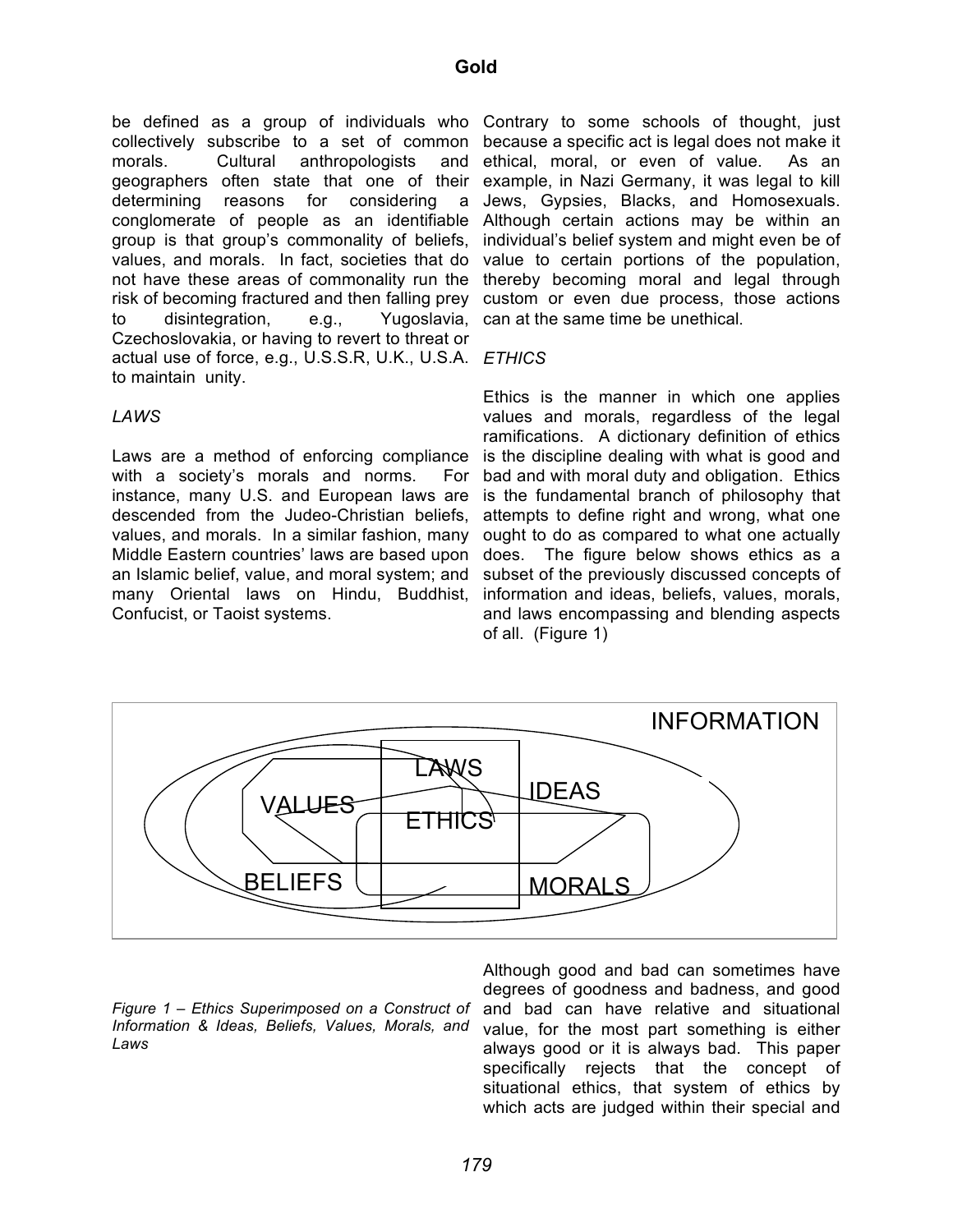be defined as a group of individuals who Contrary to some schools of thought, just collectively subscribe to a set of common because a specific act is legal does not make it morals. Cultural anthropologists geographers often state that one of their example, in Nazi Germany, it was legal to kill determining reasons for considering a conglomerate of people as an identifiable Although certain actions may be within an group is that group's commonality of beliefs, values, and morals. In fact, societies that do not have these areas of commonality run the risk of becoming fractured and then falling prey to disintegration, e.g., Czechoslovakia, or having to revert to threat or actual use of force, e.g., U.S.S.R, U.K., U.S.A. *ETHICS* to maintain unity.

and ethical, moral, or even of value. As an Jews, Gypsies, Blacks, and Homosexuals. individual's belief system and might even be of value to certain portions of the population, thereby becoming moral and legal through custom or even due process, those actions Yugoslavia, can at the same time be unethical.

#### *LAWS*

Laws are a method of enforcing compliance with a society's morals and norms. For instance, many U.S. and European laws are descended from the Judeo-Christian beliefs, values, and morals. In a similar fashion, many Middle Eastern countries' laws are based upon an Islamic belief, value, and moral system; and many Oriental laws on Hindu, Buddhist, information and ideas, beliefs, values, morals, Confucist, or Taoist systems.

Ethics is the manner in which one applies values and morals, regardless of the legal ramifications. A dictionary definition of ethics is the discipline dealing with what is good and bad and with moral duty and obligation. Ethics is the fundamental branch of philosophy that attempts to define right and wrong, what one ought to do as compared to what one actually does. The figure below shows ethics as a subset of the previously discussed concepts of and laws encompassing and blending aspects of all. (Figure 1)



*Figure 1 – Ethics Superimposed on a Construct of Information & Ideas, Beliefs, Values, Morals, and Laws*

Although good and bad can sometimes have degrees of goodness and badness, and good and bad can have relative and situational value, for the most part something is either always good or it is always bad. This paper specifically rejects that the concept of situational ethics, that system of ethics by which acts are judged within their special and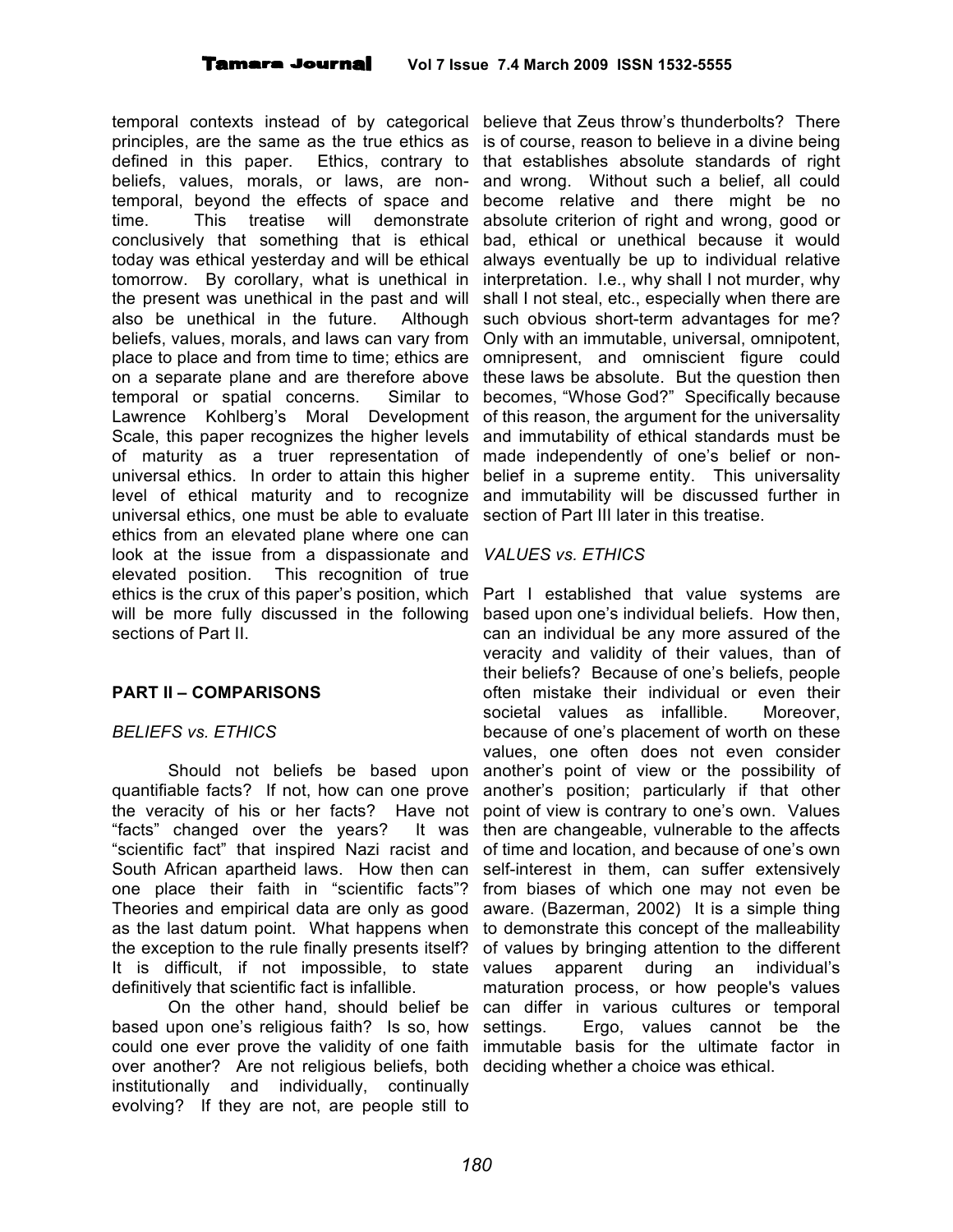temporal contexts instead of by categorical believe that Zeus throw's thunderbolts? There principles, are the same as the true ethics as defined in this paper. Ethics, contrary to beliefs, values, morals, or laws, are nontemporal, beyond the effects of space and time. This treatise will demonstrate conclusively that something that is ethical today was ethical yesterday and will be ethical tomorrow. By corollary, what is unethical in the present was unethical in the past and will also be unethical in the future. Although beliefs, values, morals, and laws can vary from place to place and from time to time; ethics are on a separate plane and are therefore above temporal or spatial concerns. Similar to Lawrence Kohlberg's Moral Development Scale, this paper recognizes the higher levels of maturity as a truer representation of universal ethics. In order to attain this higher level of ethical maturity and to recognize universal ethics, one must be able to evaluate ethics from an elevated plane where one can look at the issue from a dispassionate and elevated position. This recognition of true ethics is the crux of this paper's position, which will be more fully discussed in the following sections of Part II.

# **PART II – COMPARISONS**

# *BELIEFS vs. ETHICS*

Should not beliefs be based upon quantifiable facts? If not, how can one prove the veracity of his or her facts? Have not "facts" changed over the years? It was "scientific fact" that inspired Nazi racist and South African apartheid laws. How then can one place their faith in "scientific facts"? Theories and empirical data are only as good as the last datum point. What happens when the exception to the rule finally presents itself? It is difficult, if not impossible, to state definitively that scientific fact is infallible.

based upon one's religious faith? Is so, how could one ever prove the validity of one faith over another? Are not religious beliefs, both deciding whether a choice was ethical.institutionally and individually, continually evolving? If they are not, are people still to

is of course, reason to believe in a divine being that establishes absolute standards of right and wrong. Without such a belief, all could become relative and there might be no absolute criterion of right and wrong, good or bad, ethical or unethical because it would always eventually be up to individual relative interpretation. I.e., why shall I not murder, why shall I not steal, etc., especially when there are such obvious short-term advantages for me? Only with an immutable, universal, omnipotent, omnipresent, and omniscient figure could these laws be absolute. But the question then becomes, "Whose God?" Specifically because of this reason, the argument for the universality and immutability of ethical standards must be made independently of one's belief or nonbelief in a supreme entity. This universality and immutability will be discussed further in section of Part III later in this treatise.

#### *VALUES vs. ETHICS*

On the other hand, should belief be can differ in various cultures or temporal Part I established that value systems are based upon one's individual beliefs. How then, can an individual be any more assured of the veracity and validity of their values, than of their beliefs? Because of one's beliefs, people often mistake their individual or even their societal values as infallible. Moreover, because of one's placement of worth on these values, one often does not even consider another's point of view or the possibility of another's position; particularly if that other point of view is contrary to one's own. Values then are changeable, vulnerable to the affects of time and location, and because of one's own self-interest in them, can suffer extensively from biases of which one may not even be aware. (Bazerman, 2002) It is a simple thing to demonstrate this concept of the malleability of values by bringing attention to the different values apparent during an individual's maturation process, or how people's values settings. Ergo, values cannot be the immutable basis for the ultimate factor in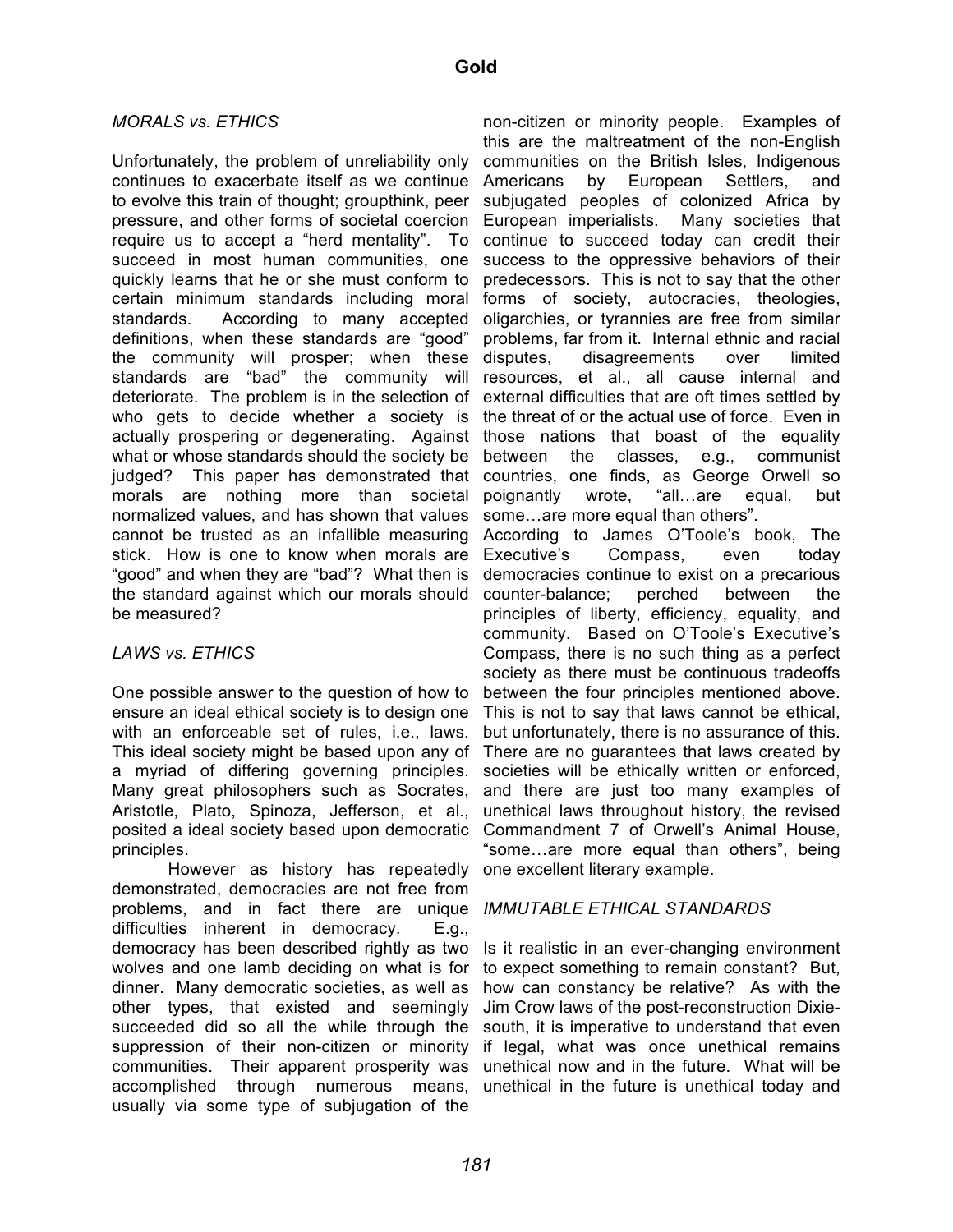### *MORALS vs. ETHICS*

Unfortunately, the problem of unreliability only continues to exacerbate itself as we continue to evolve this train of thought; groupthink, peer pressure, and other forms of societal coercion require us to accept a "herd mentality". To succeed in most human communities, one quickly learns that he or she must conform to certain minimum standards including moral standards. According to many accepted definitions, when these standards are "good" the community will prosper; when these standards are "bad" the community will deteriorate. The problem is in the selection of who gets to decide whether a society is actually prospering or degenerating. Against what or whose standards should the society be judged? This paper has demonstrated that morals are nothing more than societal normalized values, and has shown that values cannot be trusted as an infallible measuring stick. How is one to know when morals are "good" and when they are "bad"? What then is the standard against which our morals should counter-balance; perched between the be measured?

# *LAWS vs. ETHICS*

One possible answer to the question of how to ensure an ideal ethical society is to design one with an enforceable set of rules, i.e., laws. This ideal society might be based upon any of a myriad of differing governing principles. Many great philosophers such as Socrates, Aristotle, Plato, Spinoza, Jefferson, et al., posited a ideal society based upon democratic principles.

However as history has repeatedly demonstrated, democracies are not free from problems, and in fact there are unique *IMMUTABLE ETHICAL STANDARDS* difficulties inherent in democracy. E.g., democracy has been described rightly as two wolves and one lamb deciding on what is for dinner. Many democratic societies, as well as other types, that existed and seemingly succeeded did so all the while through the suppression of their non-citizen or minority if legal, what was once unethical remains communities. Their apparent prosperity was unethical now and in the future. What will be accomplished through numerous means, unethical in the future is unethical today andusually via some type of subjugation of the

non-citizen or minority people. Examples of this are the maltreatment of the non-English communities on the British Isles, Indigenous Americans by European Settlers, and subjugated peoples of colonized Africa by European imperialists. Many societies that continue to succeed today can credit their success to the oppressive behaviors of their predecessors. This is not to say that the other forms of society, autocracies, theologies, oligarchies, or tyrannies are free from similar problems, far from it. Internal ethnic and racial disputes, disagreements over limited resources, et al., all cause internal and external difficulties that are oft times settled by the threat of or the actual use of force. Even in those nations that boast of the equality between the classes, e.g., communist countries, one finds, as George Orwell so poignantly wrote, "all…are equal, but some…are more equal than others".

According to James O'Toole's book, The Executive's Compass, even today democracies continue to exist on a precarious principles of liberty, efficiency, equality, and community. Based on O'Toole's Executive's Compass, there is no such thing as a perfect society as there must be continuous tradeoffs between the four principles mentioned above. This is not to say that laws cannot be ethical, but unfortunately, there is no assurance of this. There are no guarantees that laws created by societies will be ethically written or enforced, and there are just too many examples of unethical laws throughout history, the revised Commandment 7 of Orwell's Animal House, "some…are more equal than others", being one excellent literary example.

Is it realistic in an ever-changing environment to expect something to remain constant? But, how can constancy be relative? As with the Jim Crow laws of the post-reconstruction Dixiesouth, it is imperative to understand that even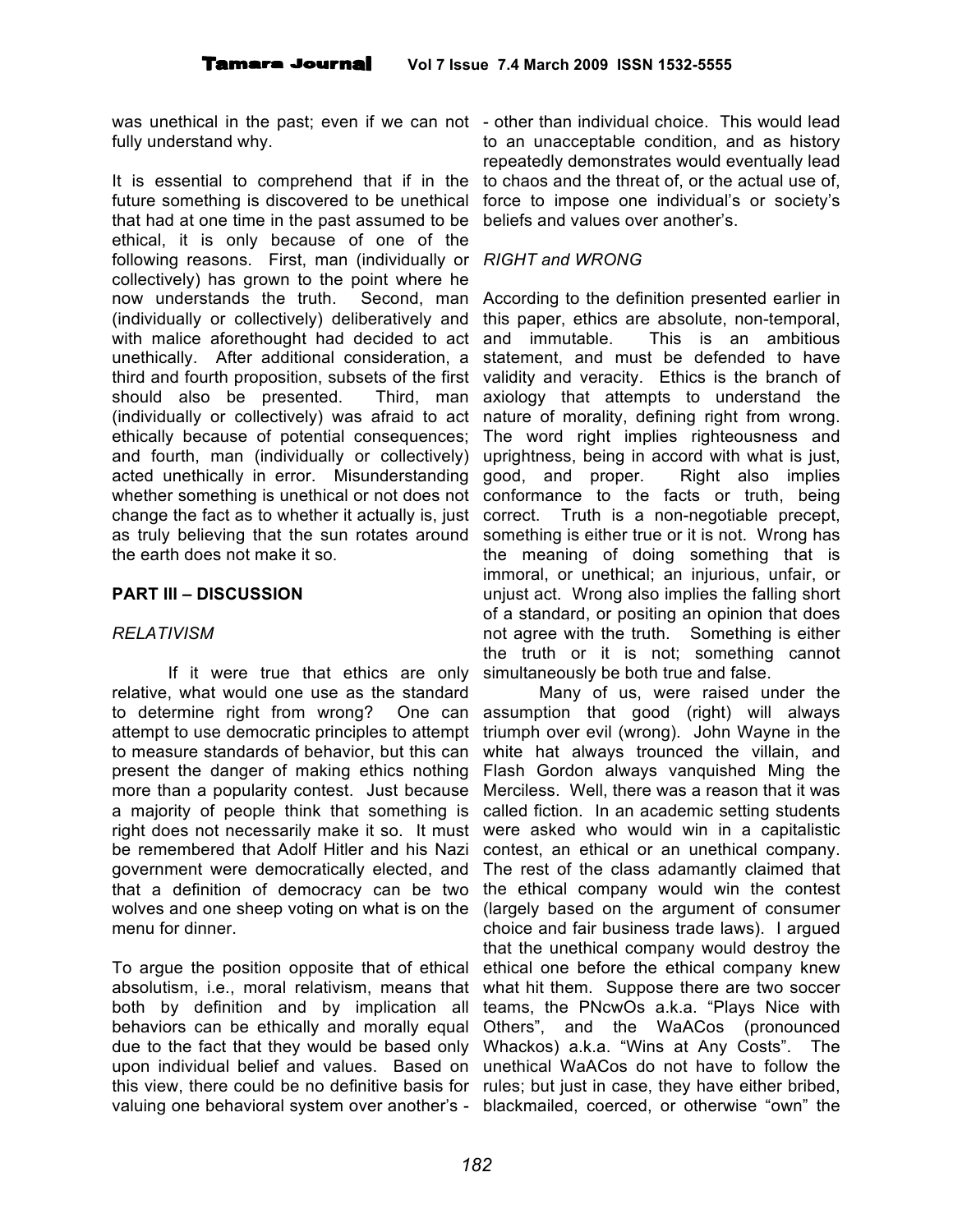was unethical in the past; even if we can not - other than individual choice. This would lead fully understand why.

It is essential to comprehend that if in the future something is discovered to be unethical that had at one time in the past assumed to be ethical, it is only because of one of the following reasons. First, man (individually or *RIGHT and WRONG* collectively) has grown to the point where he now understands the truth. Second, man (individually or collectively) deliberatively and with malice aforethought had decided to act unethically. After additional consideration, a third and fourth proposition, subsets of the first should also be presented. Third, man (individually or collectively) was afraid to act ethically because of potential consequences; and fourth, man (individually or collectively) acted unethically in error. Misunderstanding whether something is unethical or not does not change the fact as to whether it actually is, just correct. Truth is a non-negotiable precept, as truly believing that the sun rotates around the earth does not make it so.

# **PART III – DISCUSSION**

# *RELATIVISM*

If it were true that ethics are only relative, what would one use as the standard to determine right from wrong? One can attempt to use democratic principles to attempt to measure standards of behavior, but this can present the danger of making ethics nothing more than a popularity contest. Just because a majority of people think that something is right does not necessarily make it so. It must be remembered that Adolf Hitler and his Nazi government were democratically elected, and that a definition of democracy can be two wolves and one sheep voting on what is on the menu for dinner.

To argue the position opposite that of ethical absolutism, i.e., moral relativism, means that both by definition and by implication all behaviors can be ethically and morally equal due to the fact that they would be based only upon individual belief and values. Based on unethical WaACos do not have to follow the this view, there could be no definitive basis for rules; but just in case, they have either bribed, valuing one behavioral system over another's - blackmailed, coerced, or otherwise "own" the

to an unacceptable condition, and as history repeatedly demonstrates would eventually lead to chaos and the threat of, or the actual use of, force to impose one individual's or society's beliefs and values over another's.

According to the definition presented earlier in this paper, ethics are absolute, non-temporal, and immutable. This is an ambitious statement, and must be defended to have validity and veracity. Ethics is the branch of axiology that attempts to understand the nature of morality, defining right from wrong. The word right implies righteousness and uprightness, being in accord with what is just, good, and proper. Right also implies conformance to the facts or truth, being something is either true or it is not. Wrong has the meaning of doing something that is immoral, or unethical; an injurious, unfair, or unjust act. Wrong also implies the falling short of a standard, or positing an opinion that does not agree with the truth. Something is either the truth or it is not; something cannot simultaneously be both true and false.

Many of us, were raised under the assumption that good (right) will always triumph over evil (wrong). John Wayne in the white hat always trounced the villain, and Flash Gordon always vanquished Ming the Merciless. Well, there was a reason that it was called fiction. In an academic setting students were asked who would win in a capitalistic contest, an ethical or an unethical company. The rest of the class adamantly claimed that the ethical company would win the contest (largely based on the argument of consumer choice and fair business trade laws). I argued that the unethical company would destroy the ethical one before the ethical company knew what hit them. Suppose there are two soccer teams, the PNcwOs a.k.a. "Plays Nice with Others", and the WaACos (pronounced Whackos) a.k.a. "Wins at Any Costs". The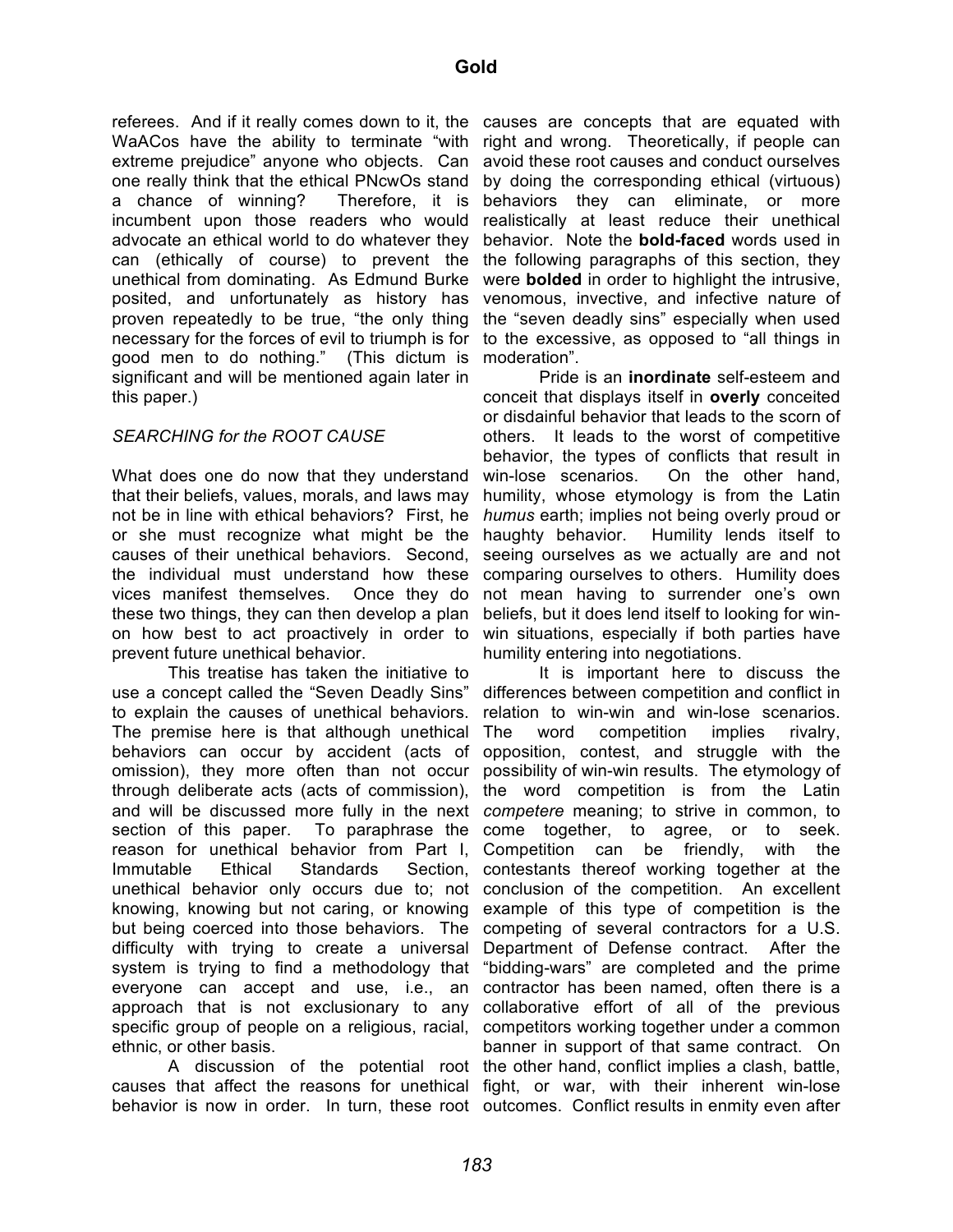referees. And if it really comes down to it, the causes are concepts that are equated with WaACos have the ability to terminate "with extreme prejudice" anyone who objects. Can one really think that the ethical PNcwOs stand a chance of winning? Therefore, it is incumbent upon those readers who would advocate an ethical world to do whatever they can (ethically of course) to prevent the unethical from dominating. As Edmund Burke posited, and unfortunately as history has proven repeatedly to be true, "the only thing necessary for the forces of evil to triumph is for good men to do nothing." (This dictum is significant and will be mentioned again later in this paper.)

# *SEARCHING for the ROOT CAUSE*

What does one do now that they understand that their beliefs, values, morals, and laws may not be in line with ethical behaviors? First, he or she must recognize what might be the causes of their unethical behaviors. Second, the individual must understand how these vices manifest themselves. Once they do these two things, they can then develop a plan on how best to act proactively in order to prevent future unethical behavior.

This treatise has taken the initiative to use a concept called the "Seven Deadly Sins" to explain the causes of unethical behaviors. The premise here is that although unethical behaviors can occur by accident (acts of omission), they more often than not occur through deliberate acts (acts of commission), and will be discussed more fully in the next *competere* meaning; to strive in common, to section of this paper. reason for unethical behavior from Part I, Immutable Ethical Standards Section, unethical behavior only occurs due to; not conclusion of the competition. An excellent knowing, knowing but not caring, or knowing but being coerced into those behaviors. The difficulty with trying to create a universal system is trying to find a methodology that everyone can accept and use, i.e., an approach that is not exclusionary to any specific group of people on a religious, racial, competitors working together under a common ethnic, or other basis.

causes that affect the reasons for unethical fight, or war, with their inherent win-lose behavior is now in order. In turn, these root outcomes. Conflict results in enmity even after

right and wrong. Theoretically, if people can avoid these root causes and conduct ourselves by doing the corresponding ethical (virtuous) behaviors they can eliminate, or more realistically at least reduce their unethical behavior. Note the **bold-faced** words used in the following paragraphs of this section, they were **bolded** in order to highlight the intrusive, venomous, invective, and infective nature of the "seven deadly sins" especially when used to the excessive, as opposed to "all things in moderation".

Pride is an **inordinate** self-esteem and conceit that displays itself in **overly** conceited or disdainful behavior that leads to the scorn of others. It leads to the worst of competitive behavior, the types of conflicts that result in win-lose scenarios. On the other hand, humility, whose etymology is from the Latin *humus* earth; implies not being overly proud or haughty behavior. Humility lends itself to seeing ourselves as we actually are and not comparing ourselves to others. Humility does not mean having to surrender one's own beliefs, but it does lend itself to looking for winwin situations, especially if both parties have humility entering into negotiations.

A discussion of the potential root the other hand, conflict implies a clash, battle, It is important here to discuss the differences between competition and conflict in relation to win-win and win-lose scenarios. The word competition implies rivalry, opposition, contest, and struggle with the possibility of win-win results. The etymology of the word competition is from the Latin To paraphrase the come together, to agree, or to seek. Competition can be friendly, with the contestants thereof working together at the example of this type of competition is the competing of several contractors for a U.S. Department of Defense contract. After the "bidding-wars" are completed and the prime contractor has been named, often there is a collaborative effort of all of the previous banner in support of that same contract. On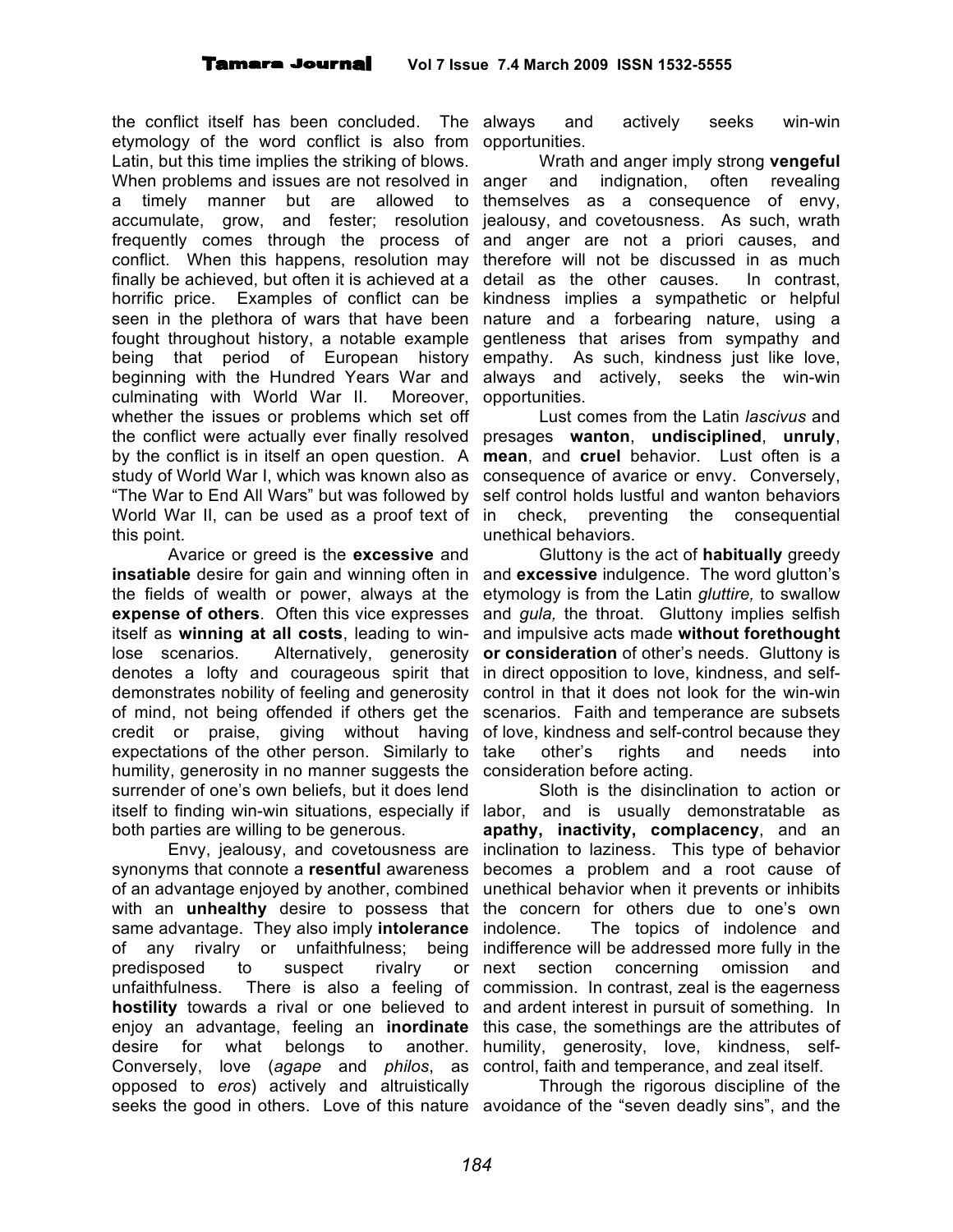the conflict itself has been concluded. The etymology of the word conflict is also from opportunities. Latin, but this time implies the striking of blows. When problems and issues are not resolved in anger a timely manner but are allowed to accumulate, grow, and fester; resolution frequently comes through the process of conflict. When this happens, resolution may finally be achieved, but often it is achieved at a horrific price. Examples of conflict can be seen in the plethora of wars that have been fought throughout history, a notable example being that period of European history beginning with the Hundred Years War and culminating with World War II. Moreover, whether the issues or problems which set off the conflict were actually ever finally resolved by the conflict is in itself an open question. A study of World War I, which was known also as "The War to End All Wars" but was followed by World War II, can be used as a proof text of in this point.

Avarice or greed is the **excessive** and **insatiable** desire for gain and winning often in the fields of wealth or power, always at the **expense of others**. Often this vice expresses itself as **winning at all costs**, leading to winlose scenarios. Alternatively, generosity denotes a lofty and courageous spirit that demonstrates nobility of feeling and generosity of mind, not being offended if others get the credit or praise, giving without having expectations of the other person. Similarly to humility, generosity in no manner suggests the surrender of one's own beliefs, but it does lend itself to finding win-win situations, especially if labor, and is usually demonstratable as both parties are willing to be generous.

Envy, jealousy, and covetousness are synonyms that connote a **resentful** awareness of an advantage enjoyed by another, combined with an **unhealthy** desire to possess that the concern for others due to one's own same advantage. They also imply **intolerance** of any rivalry or unfaithfulness; being predisposed to suspect rivalry or unfaithfulness. There is also a feeling of **hostility** towards a rival or one believed to enjoy an advantage, feeling an **inordinate** desire for what belongs to another. Conversely, love (*agape* and *philos*, as opposed to *eros*) actively and altruistically seeks the good in others. Love of this nature avoidance of the "seven deadly sins", and the

and actively seeks win-win

Wrath and anger imply strong **vengeful** and indignation, often revealing themselves as a consequence of envy, jealousy, and covetousness. As such, wrath and anger are not a priori causes, and therefore will not be discussed in as much detail as the other causes. In contrast, kindness implies a sympathetic or helpful nature and a forbearing nature, using a gentleness that arises from sympathy and empathy. As such, kindness just like love, always and actively, seeks the win-win opportunities.

Lust comes from the Latin *lascivus* and presages **wanton**, **undisciplined**, **unruly**, **mean**, and **cruel** behavior. Lust often is a consequence of avarice or envy. Conversely, self control holds lustful and wanton behaviors check, preventing the consequential unethical behaviors.

Gluttony is the act of **habitually** greedy and **excessive** indulgence. The word glutton's etymology is from the Latin *gluttire,* to swallow and *gula,* the throat. Gluttony implies selfish and impulsive acts made **without forethought or consideration** of other's needs. Gluttony is in direct opposition to love, kindness, and selfcontrol in that it does not look for the win-win scenarios. Faith and temperance are subsets of love, kindness and self-control because they take other's rights and needs into consideration before acting.

Sloth is the disinclination to action or **apathy, inactivity, complacency**, and an inclination to laziness. This type of behavior becomes a problem and a root cause of unethical behavior when it prevents or inhibits indolence. The topics of indolence and indifference will be addressed more fully in the next section concerning omission and commission. In contrast, zeal is the eagerness and ardent interest in pursuit of something. In this case, the somethings are the attributes of humility, generosity, love, kindness, selfcontrol, faith and temperance, and zeal itself.

Through the rigorous discipline of the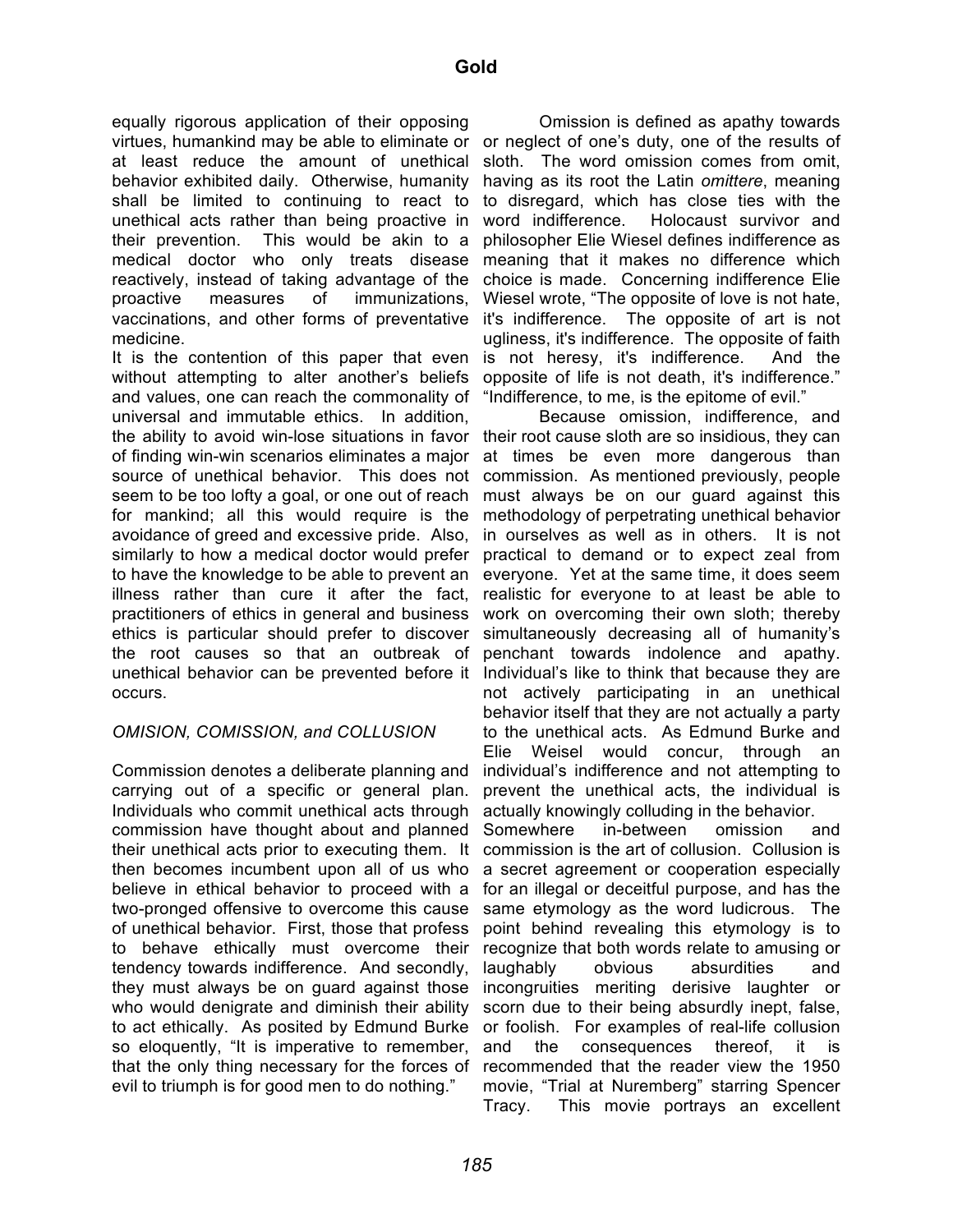equally rigorous application of their opposing virtues, humankind may be able to eliminate or or neglect of one's duty, one of the results of at least reduce the amount of unethical behavior exhibited daily. Otherwise, humanity shall be limited to continuing to react to unethical acts rather than being proactive in their prevention. This would be akin to a medical doctor who only treats disease reactively, instead of taking advantage of the proactive measures of immunizations, vaccinations, and other forms of preventative medicine.

It is the contention of this paper that even without attempting to alter another's beliefs and values, one can reach the commonality of universal and immutable ethics. In addition, the ability to avoid win-lose situations in favor of finding win-win scenarios eliminates a major source of unethical behavior. This does not seem to be too lofty a goal, or one out of reach for mankind; all this would require is the avoidance of greed and excessive pride. Also, similarly to how a medical doctor would prefer to have the knowledge to be able to prevent an illness rather than cure it after the fact, practitioners of ethics in general and business ethics is particular should prefer to discover the root causes so that an outbreak of unethical behavior can be prevented before it occurs.

#### *OMISION, COMISSION, and COLLUSION*

Commission denotes a deliberate planning and carrying out of a specific or general plan. Individuals who commit unethical acts through commission have thought about and planned their unethical acts prior to executing them. It then becomes incumbent upon all of us who believe in ethical behavior to proceed with a two-pronged offensive to overcome this cause of unethical behavior. First, those that profess to behave ethically must overcome their tendency towards indifference. And secondly, they must always be on guard against those who would denigrate and diminish their ability to act ethically. As posited by Edmund Burke so eloquently, "It is imperative to remember, that the only thing necessary for the forces of evil to triumph is for good men to do nothing."

Omission is defined as apathy towards sloth. The word omission comes from omit, having as its root the Latin *omittere*, meaning to disregard, which has close ties with the word indifference. Holocaust survivor and philosopher Elie Wiesel defines indifference as meaning that it makes no difference which choice is made. Concerning indifference Elie Wiesel wrote, "The opposite of love is not hate, it's indifference. The opposite of art is not ugliness, it's indifference. The opposite of faith is not heresy, it's indifference. And the opposite of life is not death, it's indifference." "Indifference, to me, is the epitome of evil."

Because omission, indifference, and their root cause sloth are so insidious, they can at times be even more dangerous than commission. As mentioned previously, people must always be on our guard against this methodology of perpetrating unethical behavior in ourselves as well as in others. It is not practical to demand or to expect zeal from everyone. Yet at the same time, it does seem realistic for everyone to at least be able to work on overcoming their own sloth; thereby simultaneously decreasing all of humanity's penchant towards indolence and apathy. Individual's like to think that because they are not actively participating in an unethical behavior itself that they are not actually a party to the unethical acts. As Edmund Burke and Elie Weisel would concur, through an individual's indifference and not attempting to prevent the unethical acts, the individual is actually knowingly colluding in the behavior. Somewhere in-between omission and commission is the art of collusion. Collusion is a secret agreement or cooperation especially for an illegal or deceitful purpose, and has the same etymology as the word ludicrous. The point behind revealing this etymology is to recognize that both words relate to amusing or laughably obvious absurdities and incongruities meriting derisive laughter or scorn due to their being absurdly inept, false, or foolish. For examples of real-life collusion and the consequences thereof, it is recommended that the reader view the 1950 movie, "Trial at Nuremberg" starring Spencer Tracy. This movie portrays an excellent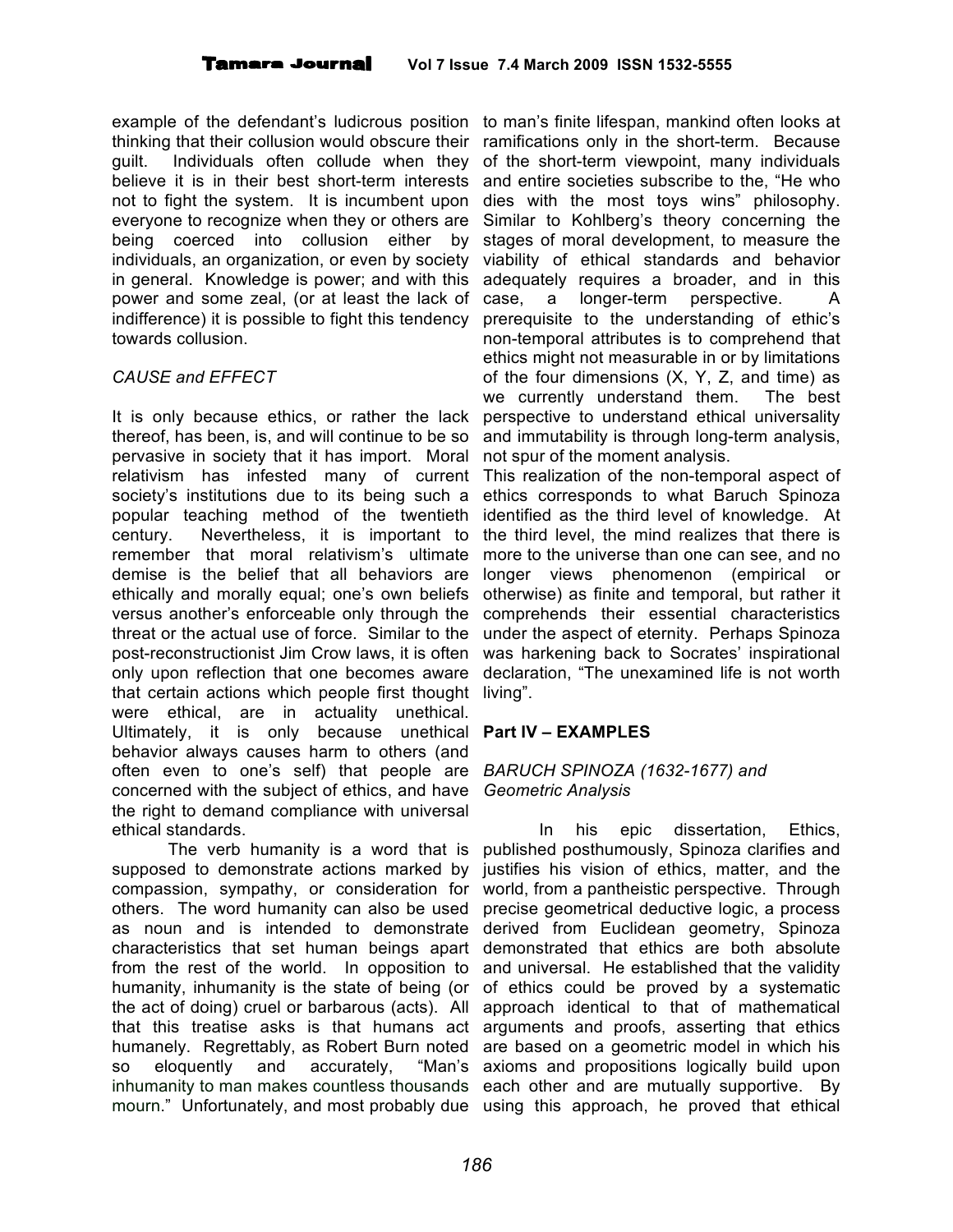example of the defendant's ludicrous position to man's finite lifespan, mankind often looks at thinking that their collusion would obscure their ramifications only in the short-term. Because guilt. Individuals often collude when they of the short-term viewpoint, many individuals believe it is in their best short-term interests not to fight the system. It is incumbent upon everyone to recognize when they or others are being coerced into collusion either by individuals, an organization, or even by society in general. Knowledge is power; and with this power and some zeal, (or at least the lack of indifference) it is possible to fight this tendency towards collusion.

# *CAUSE and EFFECT*

It is only because ethics, or rather the lack thereof, has been, is, and will continue to be so pervasive in society that it has import. Moral relativism has infested many of current society's institutions due to its being such a popular teaching method of the twentieth century. Nevertheless, it is important to remember that moral relativism's ultimate demise is the belief that all behaviors are ethically and morally equal; one's own beliefs versus another's enforceable only through the threat or the actual use of force. Similar to the post-reconstructionist Jim Crow laws, it is often only upon reflection that one becomes aware that certain actions which people first thought living". were ethical, are in actuality unethical. Ultimately, it is only because unethical **Part IV – EXAMPLES** behavior always causes harm to others (and often even to one's self) that people are *BARUCH SPINOZA (1632-1677) and* concerned with the subject of ethics, and have the right to demand compliance with universal ethical standards.

The verb humanity is a word that is supposed to demonstrate actions marked by compassion, sympathy, or consideration for others. The word humanity can also be used as noun and is intended to demonstrate characteristics that set human beings apart demonstrated that ethics are both absolute from the rest of the world. In opposition to humanity, inhumanity is the state of being (or the act of doing) cruel or barbarous (acts). All that this treatise asks is that humans act humanely. Regrettably, as Robert Burn noted so eloquently and accurately, inhumanity to man makes countless thousands each other and are mutually supportive. By mourn." Unfortunately, and most probably due using this approach, he proved that ethical

and entire societies subscribe to the, "He who dies with the most toys wins" philosophy. Similar to Kohlberg's theory concerning the stages of moral development, to measure the viability of ethical standards and behavior adequately requires a broader, and in this case, a longer-term perspective. A prerequisite to the understanding of ethic's non-temporal attributes is to comprehend that ethics might not measurable in or by limitations of the four dimensions (X, Y, Z, and time) as we currently understand them. The best perspective to understand ethical universality and immutability is through long-term analysis, not spur of the moment analysis.

This realization of the non-temporal aspect of ethics corresponds to what Baruch Spinoza identified as the third level of knowledge. At the third level, the mind realizes that there is more to the universe than one can see, and no longer views phenomenon (empirical or otherwise) as finite and temporal, but rather it comprehends their essential characteristics under the aspect of eternity. Perhaps Spinoza was harkening back to Socrates' inspirational declaration, "The unexamined life is not worth

# *Geometric Analysis*

In his epic dissertation, Ethics, published posthumously, Spinoza clarifies and justifies his vision of ethics, matter, and the world, from a pantheistic perspective. Through precise geometrical deductive logic, a process derived from Euclidean geometry, Spinoza and universal. He established that the validity of ethics could be proved by a systematic approach identical to that of mathematical arguments and proofs, asserting that ethics are based on a geometric model in which his "Man's axioms and propositions logically build upon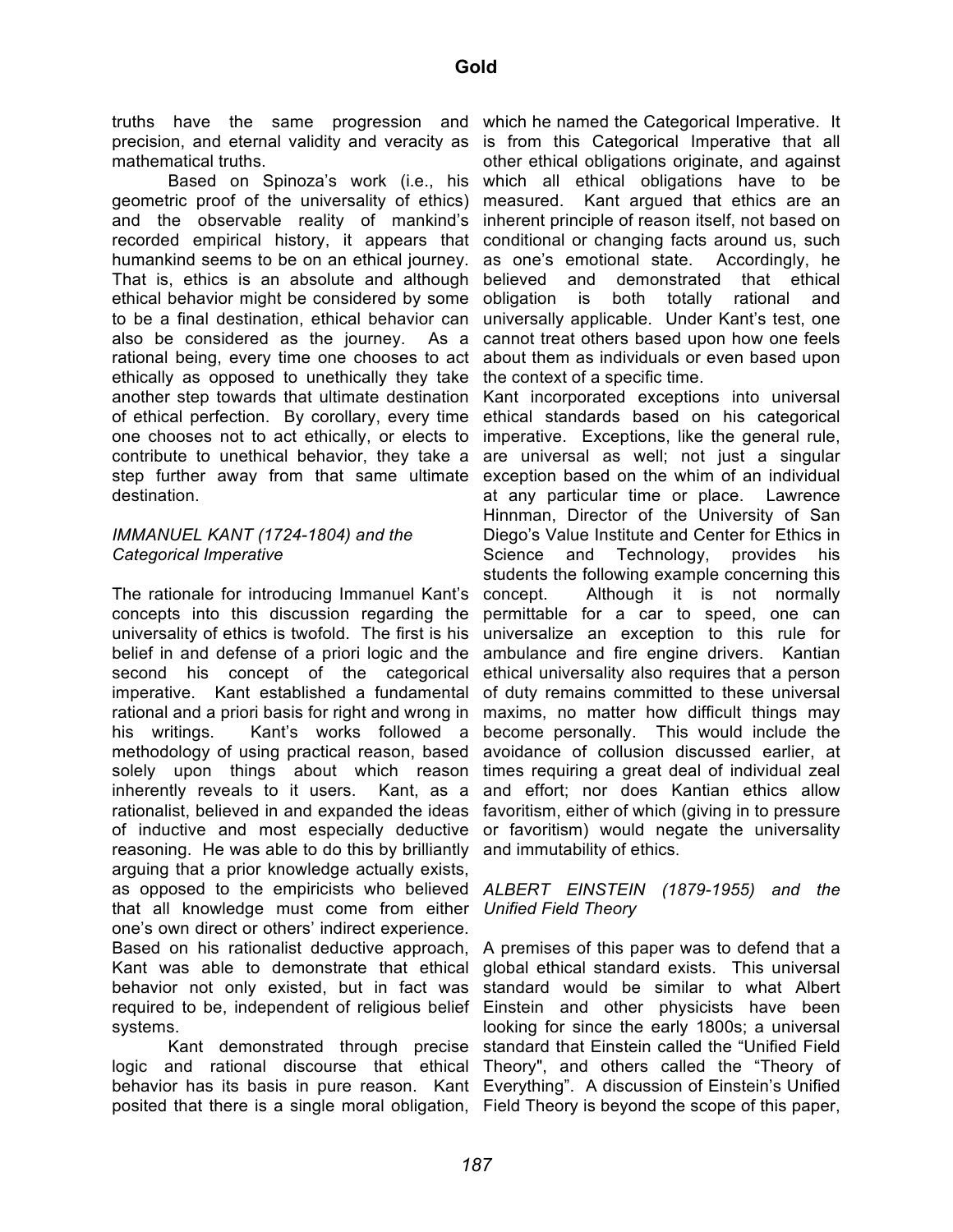truths have the same progression and which he named the Categorical Imperative. It precision, and eternal validity and veracity as is from this Categorical Imperative that all mathematical truths.

Based on Spinoza's work (i.e., his geometric proof of the universality of ethics) and the observable reality of mankind's recorded empirical history, it appears that conditional or changing facts around us, such humankind seems to be on an ethical journey. That is, ethics is an absolute and although ethical behavior might be considered by some to be a final destination, ethical behavior can also be considered as the journey. As a rational being, every time one chooses to act ethically as opposed to unethically they take another step towards that ultimate destination of ethical perfection. By corollary, every time one chooses not to act ethically, or elects to contribute to unethical behavior, they take a step further away from that same ultimate destination.

#### *IMMANUEL KANT (1724-1804) and the Categorical Imperative*

The rationale for introducing Immanuel Kant's concepts into this discussion regarding the universality of ethics is twofold. The first is his belief in and defense of a priori logic and the second his concept of the categorical imperative. Kant established a fundamental rational and a priori basis for right and wrong in his writings. Kant's works followed a methodology of using practical reason, based solely upon things about which reason inherently reveals to it users. Kant, as a rationalist, believed in and expanded the ideas of inductive and most especially deductive reasoning. He was able to do this by brilliantly and immutability of ethics. arguing that a prior knowledge actually exists, as opposed to the empiricists who believed that all knowledge must come from either *Unified Field Theory* one's own direct or others' indirect experience. Based on his rationalist deductive approach, Kant was able to demonstrate that ethical behavior not only existed, but in fact was required to be, independent of religious belief Einstein and other physicists have been systems.

logic and rational discourse that ethical Theory", and others called the "Theory of behavior has its basis in pure reason. Kant Everything". A discussion of Einstein's Unified posited that there is a single moral obligation, Field Theory is beyond the scope of this paper,

other ethical obligations originate, and against which all ethical obligations have to be measured. Kant argued that ethics are an inherent principle of reason itself, not based on as one's emotional state. Accordingly, he believed and demonstrated that ethical obligation is both totally rational and universally applicable. Under Kant's test, one cannot treat others based upon how one feels about them as individuals or even based upon the context of a specific time.

Kant incorporated exceptions into universal ethical standards based on his categorical imperative. Exceptions, like the general rule, are universal as well; not just a singular exception based on the whim of an individual at any particular time or place. Lawrence Hinnman, Director of the University of San Diego's Value Institute and Center for Ethics in Science and Technology, provides his students the following example concerning this concept. Although it is not normally permittable for a car to speed, one can universalize an exception to this rule for ambulance and fire engine drivers. Kantian ethical universality also requires that a person of duty remains committed to these universal maxims, no matter how difficult things may become personally. This would include the avoidance of collusion discussed earlier, at times requiring a great deal of individual zeal and effort; nor does Kantian ethics allow favoritism, either of which (giving in to pressure or favoritism) would negate the universality

# *ALBERT EINSTEIN (1879-1955) and the*

Kant demonstrated through precise standard that Einstein called the "Unified Field A premises of this paper was to defend that a global ethical standard exists. This universal standard would be similar to what Albert looking for since the early 1800s; a universal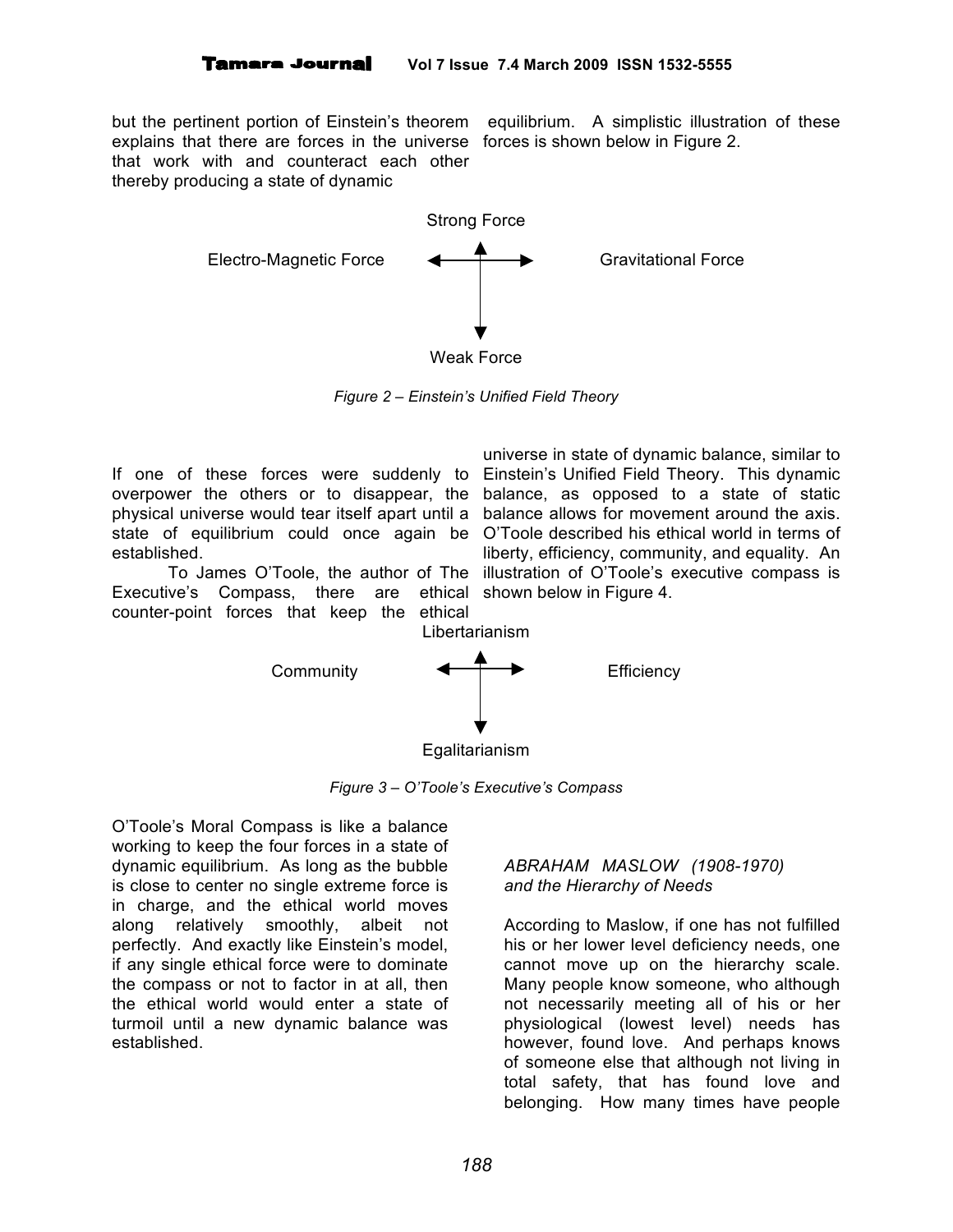explains that there are forces in the universe forces is shown below in Figure 2. that work with and counteract each other thereby producing a state of dynamic

but the pertinent portion of Einstein's theorem equilibrium. A simplistic illustration of these



*Figure 2 – Einstein's Unified Field Theory*

If one of these forces were suddenly to Einstein's Unified Field Theory. This dynamic overpower the others or to disappear, the balance, as opposed to a state of static physical universe would tear itself apart until a balance allows for movement around the axis. state of equilibrium could once again be O'Toole described his ethical world in terms of established.

Executive's Compass, there are ethical shown below in Figure 4. counter-point forces that keep the ethical

To James O'Toole, the author of The illustration of O'Toole's executive compass is universe in state of dynamic balance, similar to liberty, efficiency, community, and equality. An



*Figure 3 – O'Toole's Executive's Compass*

O'Toole's Moral Compass is like a balance working to keep the four forces in a state of dynamic equilibrium. As long as the bubble is close to center no single extreme force is in charge, and the ethical world moves along relatively smoothly, albeit not perfectly. And exactly like Einstein's model, if any single ethical force were to dominate the compass or not to factor in at all, then the ethical world would enter a state of turmoil until a new dynamic balance was established.

# *ABRAHAM MASLOW (1908-1970) and the Hierarchy of Needs*

According to Maslow, if one has not fulfilled his or her lower level deficiency needs, one cannot move up on the hierarchy scale. Many people know someone, who although not necessarily meeting all of his or her physiological (lowest level) needs has however, found love. And perhaps knows of someone else that although not living in total safety, that has found love and belonging. How many times have people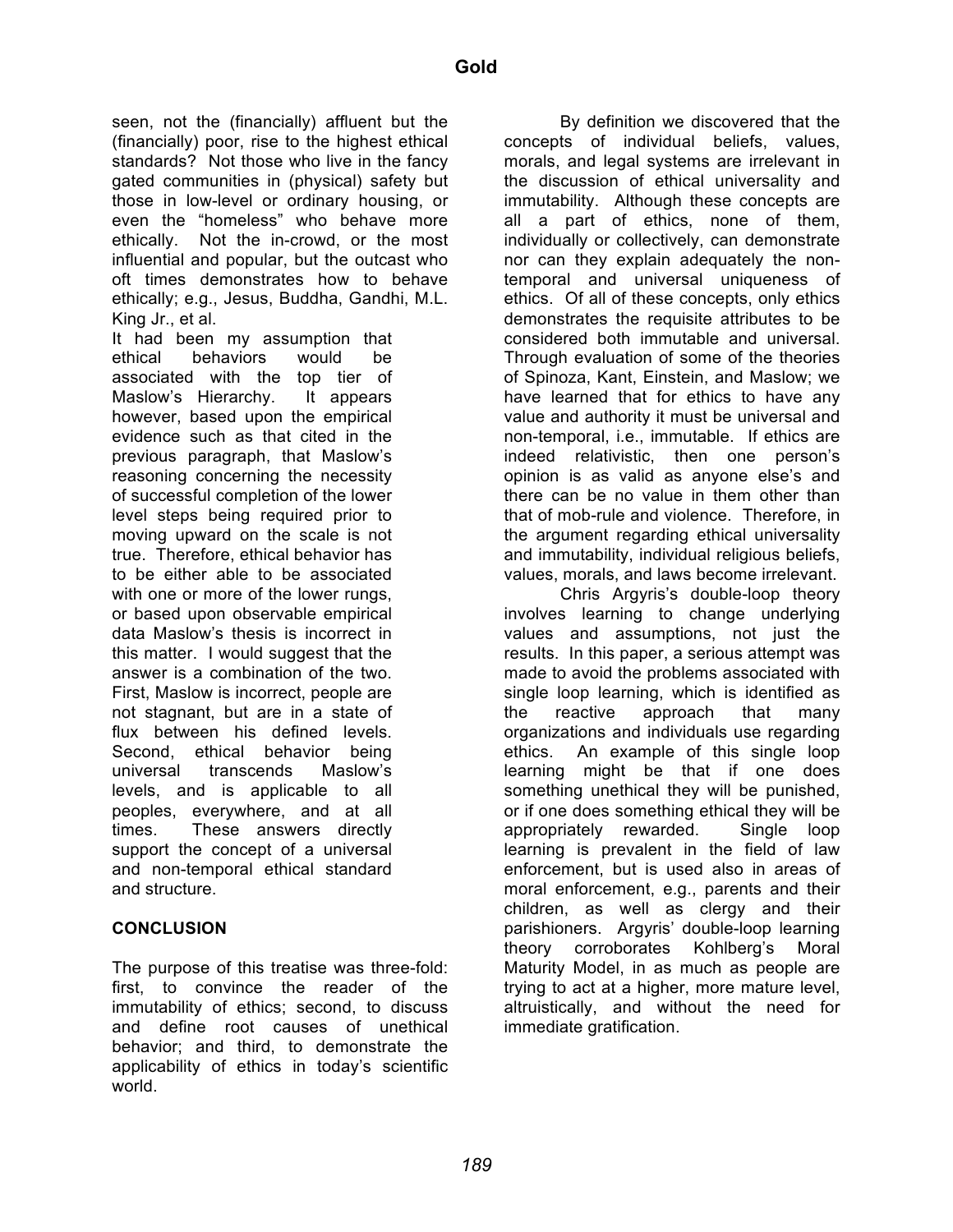seen, not the (financially) affluent but the (financially) poor, rise to the highest ethical standards? Not those who live in the fancy gated communities in (physical) safety but those in low-level or ordinary housing, or even the "homeless" who behave more ethically. Not the in-crowd, or the most influential and popular, but the outcast who oft times demonstrates how to behave ethically; e.g., Jesus, Buddha, Gandhi, M.L. King Jr., et al.

It had been my assumption that ethical behaviors would be associated with the top tier of Maslow's Hierarchy. It appears however, based upon the empirical evidence such as that cited in the previous paragraph, that Maslow's reasoning concerning the necessity of successful completion of the lower level steps being required prior to moving upward on the scale is not true. Therefore, ethical behavior has to be either able to be associated with one or more of the lower rungs, or based upon observable empirical data Maslow's thesis is incorrect in this matter. I would suggest that the answer is a combination of the two. First, Maslow is incorrect, people are not stagnant, but are in a state of flux between his defined levels. Second, ethical behavior being universal transcends Maslow's levels, and is applicable to all peoples, everywhere, and at all times. These answers directly support the concept of a universal and non-temporal ethical standard and structure.

# **CONCLUSION**

The purpose of this treatise was three-fold: first, to convince the reader of the immutability of ethics; second, to discuss and define root causes of unethical behavior; and third, to demonstrate the applicability of ethics in today's scientific world.

By definition we discovered that the concepts of individual beliefs, values, morals, and legal systems are irrelevant in the discussion of ethical universality and immutability. Although these concepts are all a part of ethics, none of them, individually or collectively, can demonstrate nor can they explain adequately the nontemporal and universal uniqueness of ethics. Of all of these concepts, only ethics demonstrates the requisite attributes to be considered both immutable and universal. Through evaluation of some of the theories of Spinoza, Kant, Einstein, and Maslow; we have learned that for ethics to have any value and authority it must be universal and non-temporal, i.e., immutable. If ethics are indeed relativistic, then one person's opinion is as valid as anyone else's and there can be no value in them other than that of mob-rule and violence. Therefore, in the argument regarding ethical universality and immutability, individual religious beliefs, values, morals, and laws become irrelevant.

Chris Argyris's double-loop theory involves learning to change underlying values and assumptions, not just the results. In this paper, a serious attempt was made to avoid the problems associated with single loop learning, which is identified as the reactive approach that many organizations and individuals use regarding ethics. An example of this single loop learning might be that if one does something unethical they will be punished, or if one does something ethical they will be appropriately rewarded. Single loop learning is prevalent in the field of law enforcement, but is used also in areas of moral enforcement, e.g., parents and their children, as well as clergy and their parishioners. Argyris' double-loop learning theory corroborates Kohlberg's Moral Maturity Model, in as much as people are trying to act at a higher, more mature level, altruistically, and without the need for immediate gratification.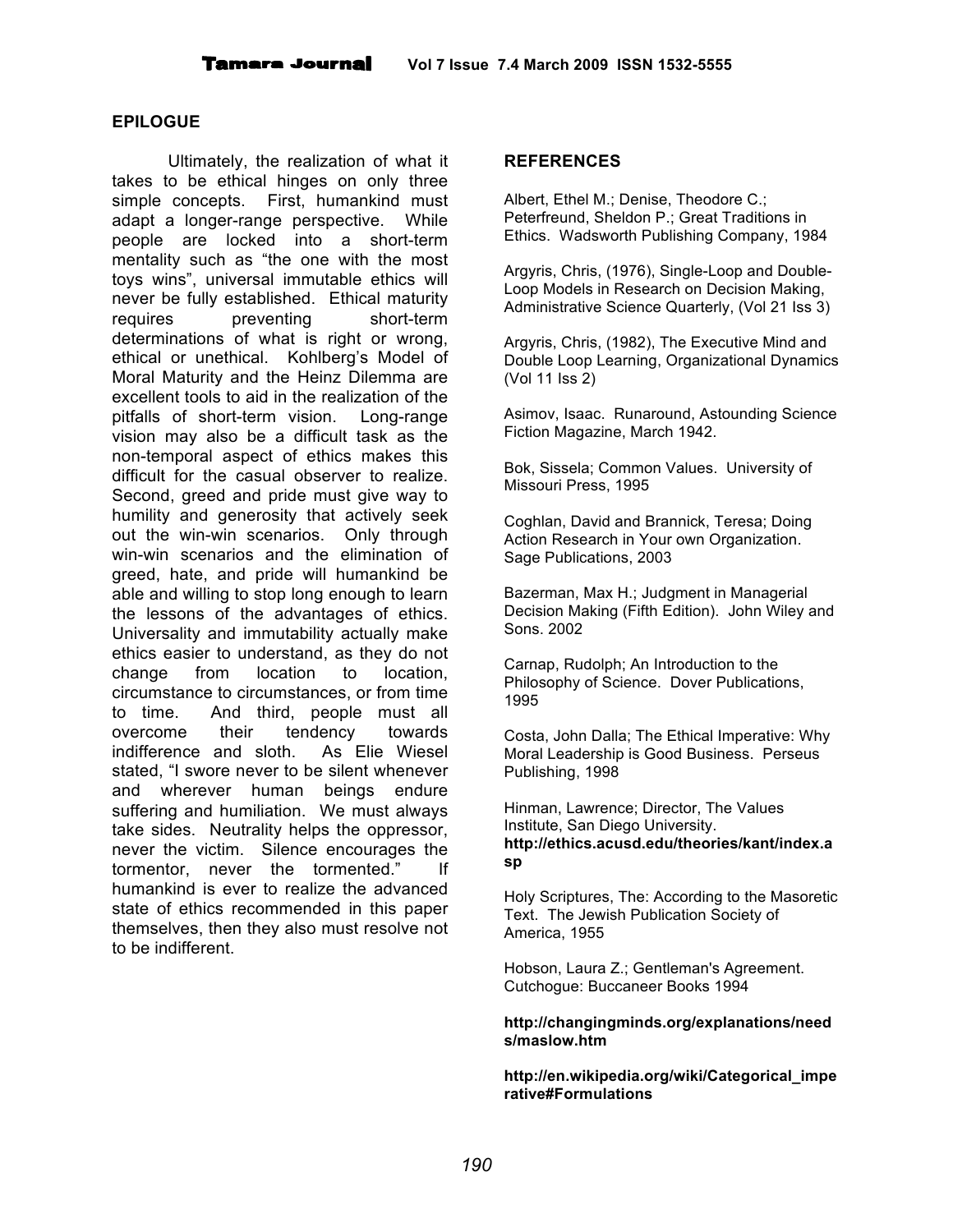#### **EPILOGUE**

Ultimately, the realization of what it takes to be ethical hinges on only three simple concepts. First, humankind must adapt a longer-range perspective. While people are locked into a short-term mentality such as "the one with the most toys wins", universal immutable ethics will never be fully established. Ethical maturity requires preventing short-term determinations of what is right or wrong, ethical or unethical. Kohlberg's Model of Moral Maturity and the Heinz Dilemma are excellent tools to aid in the realization of the pitfalls of short-term vision. Long-range vision may also be a difficult task as the non-temporal aspect of ethics makes this difficult for the casual observer to realize. Second, greed and pride must give way to humility and generosity that actively seek out the win-win scenarios. Only through win-win scenarios and the elimination of greed, hate, and pride will humankind be able and willing to stop long enough to learn the lessons of the advantages of ethics. Universality and immutability actually make ethics easier to understand, as they do not change from location to location, circumstance to circumstances, or from time to time. And third, people must all overcome their tendency towards indifference and sloth. As Elie Wiesel stated, "I swore never to be silent whenever and wherever human beings endure suffering and humiliation. We must always take sides. Neutrality helps the oppressor, never the victim. Silence encourages the tormentor, never the tormented." If humankind is ever to realize the advanced state of ethics recommended in this paper themselves, then they also must resolve not to be indifferent.

#### **REFERENCES**

Albert, Ethel M.; Denise, Theodore C.; Peterfreund, Sheldon P.; Great Traditions in Ethics. Wadsworth Publishing Company, 1984

Argyris, Chris, (1976), Single-Loop and Double-Loop Models in Research on Decision Making, Administrative Science Quarterly, (Vol 21 Iss 3)

Argyris, Chris, (1982), The Executive Mind and Double Loop Learning, Organizational Dynamics (Vol 11 Iss 2)

Asimov, Isaac. Runaround, Astounding Science Fiction Magazine, March 1942.

Bok, Sissela; Common Values. University of Missouri Press, 1995

Coghlan, David and Brannick, Teresa; Doing Action Research in Your own Organization. Sage Publications, 2003

Bazerman, Max H.; Judgment in Managerial Decision Making (Fifth Edition). John Wiley and Sons. 2002

Carnap, Rudolph; An Introduction to the Philosophy of Science. Dover Publications, 1995

Costa, John Dalla; The Ethical Imperative: Why Moral Leadership is Good Business. Perseus Publishing, 1998

Hinman, Lawrence; Director, The Values Institute, San Diego University. **http://ethics.acusd.edu/theories/kant/index.a sp**

Holy Scriptures, The: According to the Masoretic Text. The Jewish Publication Society of America, 1955

Hobson, Laura Z.; Gentleman's Agreement. Cutchogue: Buccaneer Books 1994

#### **http://changingminds.org/explanations/need s/maslow.htm**

**http://en.wikipedia.org/wiki/Categorical\_impe rative#Formulations**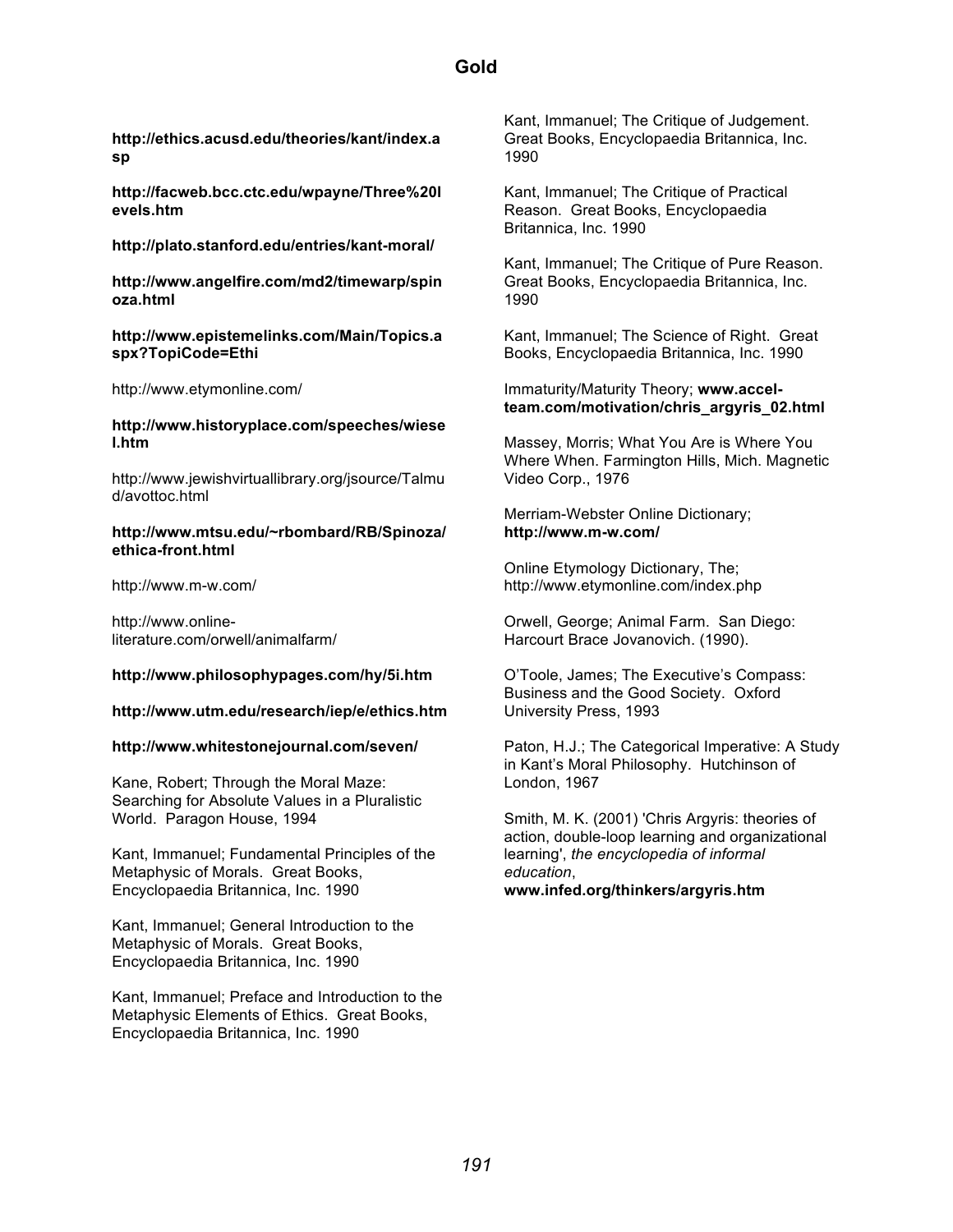**http://ethics.acusd.edu/theories/kant/index.a sp**

**http://facweb.bcc.ctc.edu/wpayne/Three%20l evels.htm**

**http://plato.stanford.edu/entries/kant-moral/**

**http://www.angelfire.com/md2/timewarp/spin oza.html**

#### **http://www.epistemelinks.com/Main/Topics.a spx?TopiCode=Ethi**

http://www.etymonline.com/

#### **http://www.historyplace.com/speeches/wiese l.htm**

http://www.jewishvirtuallibrary.org/jsource/Talmu d/avottoc.html

#### **http://www.mtsu.edu/~rbombard/RB/Spinoza/ ethica-front.html**

http://www.m-w.com/

http://www.onlineliterature.com/orwell/animalfarm/

#### **http://www.philosophypages.com/hy/5i.htm**

#### **http://www.utm.edu/research/iep/e/ethics.htm**

#### **http://www.whitestonejournal.com/seven/**

Kane, Robert; Through the Moral Maze: Searching for Absolute Values in a Pluralistic World. Paragon House, 1994

Kant, Immanuel; Fundamental Principles of the Metaphysic of Morals. Great Books, Encyclopaedia Britannica, Inc. 1990

Kant, Immanuel; General Introduction to the Metaphysic of Morals. Great Books, Encyclopaedia Britannica, Inc. 1990

Kant, Immanuel; Preface and Introduction to the Metaphysic Elements of Ethics. Great Books, Encyclopaedia Britannica, Inc. 1990

Kant, Immanuel; The Critique of Judgement. Great Books, Encyclopaedia Britannica, Inc. 1990

Kant, Immanuel; The Critique of Practical Reason. Great Books, Encyclopaedia Britannica, Inc. 1990

Kant, Immanuel; The Critique of Pure Reason. Great Books, Encyclopaedia Britannica, Inc. 1990

Kant, Immanuel; The Science of Right. Great Books, Encyclopaedia Britannica, Inc. 1990

Immaturity/Maturity Theory; **www.accelteam.com/motivation/chris\_argyris\_02.html**

Massey, Morris; What You Are is Where You Where When. Farmington Hills, Mich. Magnetic Video Corp., 1976

Merriam-Webster Online Dictionary; **http://www.m-w.com/**

Online Etymology Dictionary, The; http://www.etymonline.com/index.php

Orwell, George; Animal Farm. San Diego: Harcourt Brace Jovanovich. (1990).

O'Toole, James; The Executive's Compass: Business and the Good Society. Oxford University Press, 1993

Paton, H.J.; The Categorical Imperative: A Study in Kant's Moral Philosophy. Hutchinson of London, 1967

Smith, M. K. (2001) 'Chris Argyris: theories of action, double-loop learning and organizational learning', *the encyclopedia of informal education*, **www.infed.org/thinkers/argyris.htm**